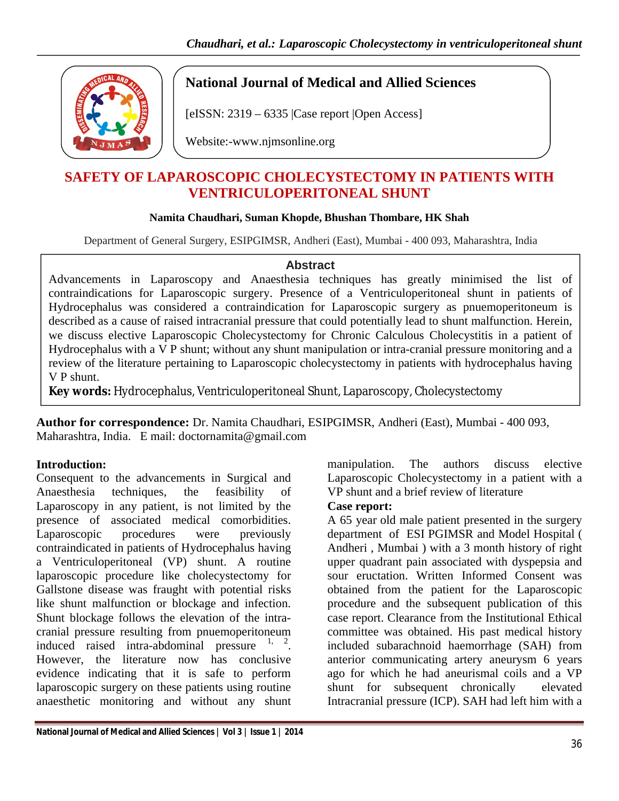

# **National Journal of Medical and Allied Sciences**

[eISSN: 2319 – 6335 |Case report |Open Access]

Website:-www.njmsonline.org

# **SAFETY OF LAPAROSCOPIC CHOLECYSTECTOMY IN PATIENTS WITH VENTRICULOPERITONEAL SHUNT**

## **Namita Chaudhari, Suman Khopde, Bhushan Thombare, HK Shah**

Department of General Surgery, ESIPGIMSR, Andheri (East), Mumbai - 400 093, Maharashtra, India

#### **Abstract**

Advancements in Laparoscopy and Anaesthesia techniques has greatly minimised the list of contraindications for Laparoscopic surgery. Presence of a Ventriculoperitoneal shunt in patients of Hydrocephalus was considered a contraindication for Laparoscopic surgery as pnuemoperitoneum is described as a cause of raised intracranial pressure that could potentially lead to shunt malfunction. Herein, we discuss elective Laparoscopic Cholecystectomy for Chronic Calculous Cholecystitis in a patient of Hydrocephalus with a V P shunt; without any shunt manipulation or intra-cranial pressure monitoring and a review of the literature pertaining to Laparoscopic cholecystectomy in patients with hydrocephalus having V P shunt.

**Key words:** Hydrocephalus, Ventriculoperitoneal Shunt, Laparoscopy, Cholecystectomy

**Author for correspondence:** Dr. Namita Chaudhari, ESIPGIMSR, Andheri (East), Mumbai - 400 093, Maharashtra, India. E mail: doctornamita@gmail.com

# **Introduction:**

Consequent to the advancements in Surgical and Anaesthesia techniques, the feasibility of Laparoscopy in any patient, is not limited by the presence of associated medical comorbidities. Laparoscopic procedures were previously contraindicated in patients of Hydrocephalus having a Ventriculoperitoneal (VP) shunt. A routine laparoscopic procedure like cholecystectomy for Gallstone disease was fraught with potential risks like shunt malfunction or blockage and infection. Shunt blockage follows the elevation of the intracranial pressure resulting from pnuemoperitoneum induced raised intra-abdominal pressure  $1, 2$ . However, the literature now has conclusive evidence indicating that it is safe to perform laparoscopic surgery on these patients using routine anaesthetic monitoring and without any shunt manipulation. The authors discuss elective Laparoscopic Cholecystectomy in a patient with a VP shunt and a brief review of literature

#### **Case report:**

A 65 year old male patient presented in the surgery department of ESI PGIMSR and Model Hospital ( Andheri , Mumbai ) with a 3 month history of right upper quadrant pain associated with dyspepsia and sour eructation. Written Informed Consent was obtained from the patient for the Laparoscopic procedure and the subsequent publication of this case report. Clearance from the Institutional Ethical committee was obtained. His past medical history included subarachnoid haemorrhage (SAH) from anterior communicating artery aneurysm 6 years ago for which he had aneurismal coils and a VP shunt for subsequent chronically elevated Intracranial pressure (ICP). SAH had left him with a

**National Journal of Medical and Allied Sciences | Vol 3 | Issue 1 | 2014**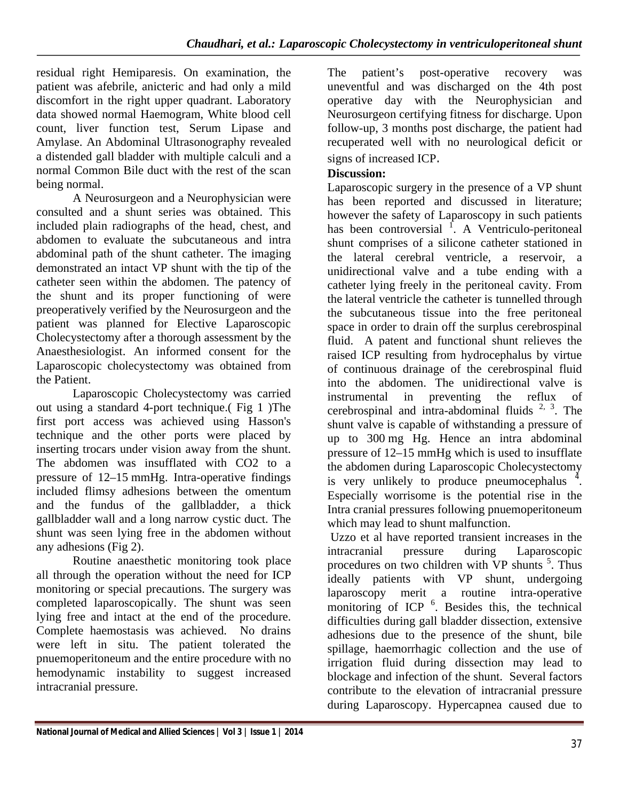residual right Hemiparesis. On examination, the patient was afebrile, anicteric and had only a mild discomfort in the right upper quadrant. Laboratory data showed normal Haemogram, White blood cell count, liver function test, Serum Lipase and Amylase. An Abdominal Ultrasonography revealed a distended gall bladder with multiple calculi and a normal Common Bile duct with the rest of the scan being normal.

A Neurosurgeon and a Neurophysician were consulted and a shunt series was obtained. This included plain radiographs of the head, chest, and abdomen to evaluate the subcutaneous and intra abdominal path of the shunt catheter. The imaging demonstrated an intact VP shunt with the tip of the catheter seen within the abdomen. The patency of the shunt and its proper functioning of were preoperatively verified by the Neurosurgeon and the patient was planned for Elective Laparoscopic Cholecystectomy after a thorough assessment by the Anaesthesiologist. An informed consent for the Laparoscopic cholecystectomy was obtained from the Patient.

Laparoscopic Cholecystectomy was carried out using a standard 4-port technique.( Fig 1 )The first port access was achieved using Hasson's technique and the other ports were placed by inserting trocars under vision away from the shunt. The abdomen was insufflated with CO2 to a pressure of 12–15 mmHg. Intra-operative findings included flimsy adhesions between the omentum and the fundus of the gallbladder, a thick gallbladder wall and a long narrow cystic duct. The shunt was seen lying free in the abdomen without any adhesions (Fig 2).

Routine anaesthetic monitoring took place all through the operation without the need for ICP monitoring or special precautions. The surgery was completed laparoscopically. The shunt was seen lying free and intact at the end of the procedure. Complete haemostasis was achieved. No drains were left in situ. The patient tolerated the pnuemoperitoneum and the entire procedure with no hemodynamic instability to suggest increased intracranial pressure.

The patient's post-operative recovery was uneventful and was discharged on the 4th post operative day with the Neurophysician and Neurosurgeon certifying fitness for discharge. Upon follow-up, 3 months post discharge, the patient had recuperated well with no neurological deficit or signs of increased ICP.

## **Discussion:**

Laparoscopic surgery in the presence of a VP shunt has been reported and discussed in literature; however the safety of Laparoscopy in such patients has been controversial <sup>f</sup>. A Ventriculo-peritoneal shunt comprises of a silicone catheter stationed in the lateral cerebral ventricle, a reservoir, a unidirectional valve and a tube ending with a catheter lying freely in the peritoneal cavity. From the lateral ventricle the catheter is tunnelled through the subcutaneous tissue into the free peritoneal space in order to drain off the surplus cerebrospinal fluid. A patent and functional shunt relieves the raised ICP resulting from hydrocephalus by virtue of continuous drainage of the cerebrospinal fluid into the abdomen. The unidirectional valve is instrumental in preventing the reflux of cerebrospinal and intra-abdominal fluids  $2, 3$ . The shunt valve is capable of withstanding a pressure of up to 300 mg Hg. Hence an intra abdominal pressure of 12–15 mmHg which is used to insufflate the abdomen during Laparoscopic Cholecystectomy is very unlikely to produce pneumocephalus  $4$ . Especially worrisome is the potential rise in the Intra cranial pressures following pnuemoperitoneum which may lead to shunt malfunction.

Uzzo et al have reported transient increases in the intracranial pressure during Laparoscopic procedures on two children with VP shunts <sup>5</sup>. Thus ideally patients with VP shunt, undergoing laparoscopy merit a routine intra-operative monitoring of ICP<sup>6</sup>. Besides this, the technical difficulties during gall bladder dissection, extensive adhesions due to the presence of the shunt, bile spillage, haemorrhagic collection and the use of irrigation fluid during dissection may lead to blockage and infection of the shunt. Several factors contribute to the elevation of intracranial pressure during Laparoscopy. Hypercapnea caused due to

**National Journal of Medical and Allied Sciences | Vol 3 | Issue 1 | 2014**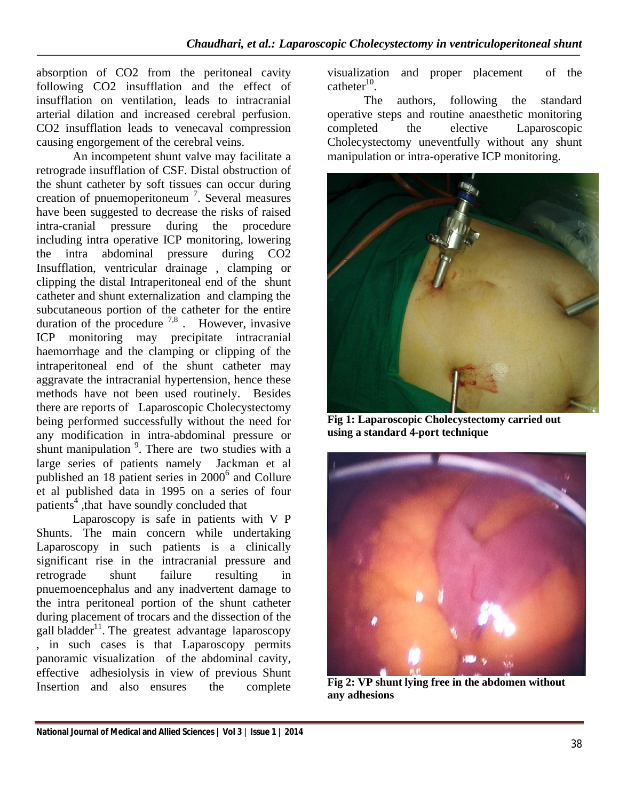absorption of CO2 from the peritoneal cavity following CO2 insufflation and the effect of insufflation on ventilation, leads to intracranial arterial dilation and increased cerebral perfusion. CO2 insufflation leads to venecaval compression causing engorgement of the cerebral veins.

An incompetent shunt valve may facilitate a retrograde insufflation of CSF. Distal obstruction of the shunt catheter by soft tissues can occur during creation of pnuemoperitoneum<sup>7</sup>. Several measures have been suggested to decrease the risks of raised intra-cranial pressure during the procedure including intra operative ICP monitoring, lowering the intra abdominal pressure during CO2 Insufflation, ventricular drainage , clamping or clipping the distal Intraperitoneal end of the shunt catheter and shunt externalization and clamping the subcutaneous portion of the catheter for the entire duration of the procedure  $^{7,8}$ . However, invasive ICP monitoring may precipitate intracranial haemorrhage and the clamping or clipping of the intraperitoneal end of the shunt catheter may aggravate the intracranial hypertension, hence these methods have not been used routinely. Besides there are reports of Laparoscopic Cholecystectomy being performed successfully without the need for any modification in intra-abdominal pressure or shunt manipulation <sup>9</sup>. There are two studies with a large series of patients namely Jackman et al published an 18 patient series in  $2000<sup>6</sup>$  and Collure et al published data in 1995 on a series of four patients<sup>4</sup>, that have soundly concluded that

Laparoscopy is safe in patients with V P Shunts. The main concern while undertaking Laparoscopy in such patients is a clinically significant rise in the intracranial pressure and retrograde shunt failure resulting in pnuemoencephalus and any inadvertent damage to the intra peritoneal portion of the shunt catheter during placement of trocars and the dissection of the gall bladder<sup>11</sup>. The greatest advantage laparoscopy , in such cases is that Laparoscopy permits panoramic visualization of the abdominal cavity, effective adhesiolysis in view of previous Shunt Insertion and also ensures the complete

visualization and proper placement of the catheter $^{10}$ .

The authors, following the standard operative steps and routine anaesthetic monitoring completed the elective Laparoscopic Cholecystectomy uneventfully without any shunt manipulation or intra-operative ICP monitoring.



**Fig 1: Laparoscopic Cholecystectomy carried out using a standard 4-port technique**



**Fig 2: VP shunt lying free in the abdomen without any adhesions**